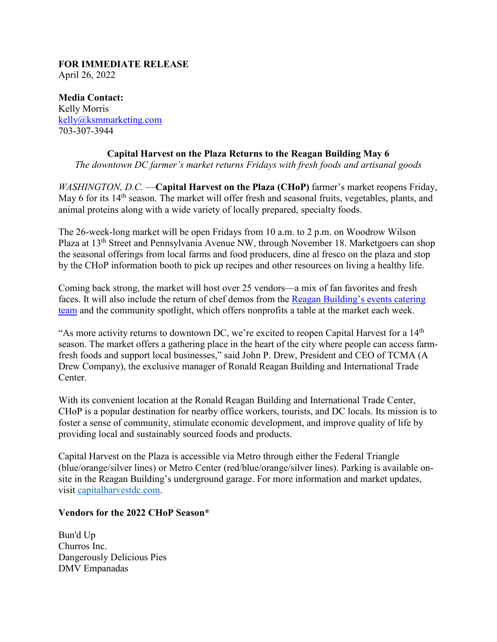#### **FOR IMMEDIATE RELEASE** April 26, 2022

**Media Contact:** Kelly Morris [kelly@ksmmarketing.com](mailto:kelly@ksmmarketing.com) 703-307-3944

# **Capital Harvest on the Plaza Returns to the Reagan Building May 6**

*The downtown DC farmer's market returns Fridays with fresh foods and artisanal goods*

*WASHINGTON, D.C.* — Capital Harvest on the Plaza (CHoP) farmer's market reopens Friday, May 6 for its 14<sup>th</sup> season. The market will offer fresh and seasonal fruits, vegetables, plants, and animal proteins along with a wide variety of locally prepared, specialty foods.

The 26-week-long market will be open Fridays from 10 a.m. to 2 p.m. on Woodrow Wilson Plaza at 13<sup>th</sup> Street and Pennsylvania Avenue NW, through November 18. Marketgoers can shop the seasonal offerings from local farms and food producers, dine al fresco on the plaza and stop by the CHoP information booth to pick up recipes and other resources on living a healthy life.

Coming back strong, the market will host over 25 vendors—a mix of fan favorites and fresh faces. It will also include the return of chef demos from the [Reagan Building's events](https://rrbitc.com/catering/) catering [team](https://rrbitc.com/catering/) and the community spotlight, which offers nonprofits a table at the market each week.

"As more activity returns to downtown DC, we're excited to reopen Capital Harvest for a 14<sup>th</sup> season. The market offers a gathering place in the heart of the city where people can access farmfresh foods and support local businesses," said John P. Drew, President and CEO of TCMA (A Drew Company), the exclusive manager of Ronald Reagan Building and International Trade Center.

With its convenient location at the Ronald Reagan Building and International Trade Center, CHoP is a popular destination for nearby office workers, tourists, and DC locals. Its mission is to foster a sense of community, stimulate economic development, and improve quality of life by providing local and sustainably sourced foods and products.

Capital Harvest on the Plaza is accessible via Metro through either the Federal Triangle (blue/orange/silver lines) or Metro Center (red/blue/orange/silver lines). Parking is available onsite in the Reagan Building's underground garage. For more information and market updates, visit [capitalharvestdc.com.](https://urldefense.proofpoint.com/v2/url?u=http-3A__www.capitalharvestdc.com_&d=DwMFaQ&c=euGZstcaTDllvimEN8b7jXrwqOf-v5A_CdpgnVfiiMM&r=NgQTq4gq7wfKoRfHIpxGxh5ySeKoyZjpu24XSsMt3aI&m=h9ooDI4Gvhrb8oyyFOVvhd1Fmmmof9MRKxbGS7UAf-s&s=28dBrSc9zK2mps9Asgbma00Eex7aoeBf6V50yKgyMn4&e=)

## **Vendors for the 2022 CHoP Season\***

Bun'd Up Churros Inc. Dangerously Delicious Pies DMV Empanadas